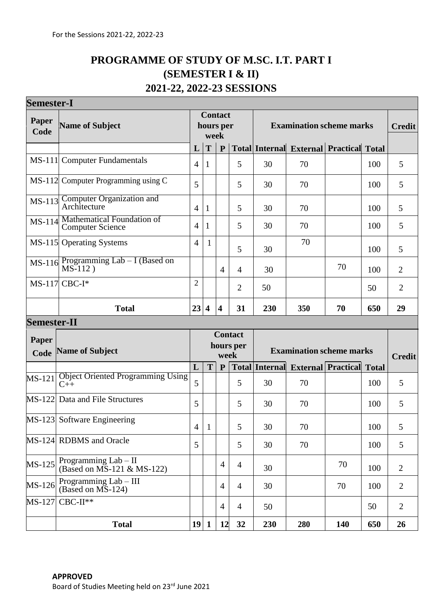# **PROGRAMME OF STUDY OF M.SC. I.T. PART I (SEMESTER I & II) 2021-22, 2022-23 SESSIONS**

| <b>Semester-I</b>  |                                                                    |                                     |                         |                                 |                |                                 |                                          |                           |              |                |
|--------------------|--------------------------------------------------------------------|-------------------------------------|-------------------------|---------------------------------|----------------|---------------------------------|------------------------------------------|---------------------------|--------------|----------------|
| Paper<br>Code      | <b>Name of Subject</b>                                             | <b>Contact</b><br>hours per<br>week |                         |                                 |                | <b>Examination scheme marks</b> |                                          |                           |              | <b>Credit</b>  |
|                    |                                                                    | L                                   | T                       | $\mathbf{P}$                    |                |                                 | <b>Total Internal External Practical</b> |                           | <b>Total</b> |                |
| $MS-111$           | <b>Computer Fundamentals</b>                                       | $\overline{4}$                      | T                       |                                 | 5              | 30                              | 70                                       |                           | 100          | 5              |
|                    | MS-112 Computer Programming using C                                | 5                                   |                         |                                 | 5              | 30                              | 70                                       |                           | 100          | 5              |
| $MS-113$           | <b>Computer Organization and</b><br>Architecture                   | $\overline{4}$                      | 1                       |                                 | 5              | 30                              | 70                                       |                           | 100          | 5              |
| MS-114             | Mathematical Foundation of<br><b>Computer Science</b>              | $\overline{4}$                      | 1                       |                                 | 5              | 30                              | 70                                       |                           | 100          | 5              |
|                    | MS-115 Operating Systems                                           | $\overline{4}$                      | 1                       |                                 | 5              | 30                              | 70                                       |                           | 100          | 5              |
| MS-116             | Programming Lab - I (Based on<br>MS-112)                           |                                     |                         | $\overline{4}$                  | $\overline{4}$ | 30                              |                                          | 70                        | 100          | $\overline{2}$ |
|                    | $MS-117$ CBC-I*                                                    | $\overline{2}$                      |                         |                                 | $\overline{2}$ | 50                              |                                          |                           | 50           | $\overline{2}$ |
|                    | <b>Total</b>                                                       | 23                                  | $\overline{\mathbf{4}}$ | $\overline{\mathbf{4}}$         | 31             | 230                             | 350                                      | 70                        | 650          | 29             |
| <b>Semester-II</b> |                                                                    |                                     |                         |                                 |                |                                 |                                          |                           |              |                |
| Paper              |                                                                    |                                     |                         |                                 | <b>Contact</b> |                                 |                                          |                           |              |                |
| Code               | <b>Name of Subject</b>                                             | hours per<br>week                   |                         | <b>Examination scheme marks</b> |                |                                 | <b>Credit</b>                            |                           |              |                |
|                    |                                                                    | L                                   | T                       | $\mathbf{P}$                    |                | <b>Total Internal</b>           |                                          | <b>External Practical</b> | <b>Total</b> |                |
| <b>MS-121</b>      | <b>Object Oriented Programming Using</b><br>$C++$                  | 5                                   |                         |                                 | 5              | 30                              | 70                                       |                           | 100          | 5              |
| $MS-122$           | Data and File Structures                                           | 5                                   |                         |                                 | 5              | 30                              | 70                                       |                           | 100          | 5              |
|                    | MS-123 Software Engineering                                        | $\overline{4}$                      | $\mathbf{1}$            |                                 | 5              | 30                              | 70                                       |                           | 100          | 5              |
|                    | MS-124 RDBMS and Oracle                                            | 5                                   |                         |                                 | 5              | 30                              | 70                                       |                           | 100          | 5              |
| MS-125             | Programming $Lab - II$<br>(Based on $\overline{MS}$ -121 & MS-122) |                                     |                         | 4                               | $\overline{4}$ | 30                              |                                          | 70                        | 100          | $\overline{2}$ |
| MS-126             | Programming Lab - III<br>$(Based on MS-124)$                       |                                     |                         | $\overline{4}$                  | $\overline{4}$ | 30                              |                                          | 70                        | 100          | $\overline{2}$ |
| MS-127             | $CBC-II**$                                                         |                                     |                         | $\overline{4}$                  | $\overline{4}$ | 50                              |                                          |                           | 50           | $\overline{2}$ |
|                    | <b>Total</b>                                                       | 19                                  | 1                       | 12                              | 32             | 230                             | 280                                      | 140                       | 650          | 26             |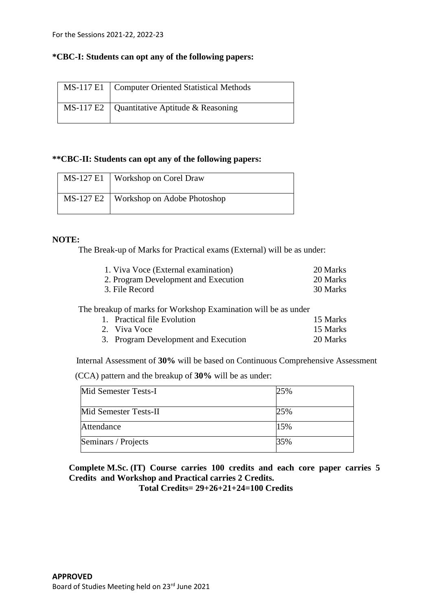## **\*CBC-I: Students can opt any of the following papers:**

| MS-117 E1   Computer Oriented Statistical Methods |
|---------------------------------------------------|
| MS-117 E2   Quantitative Aptitude & Reasoning     |

## **\*\*CBC-II: Students can opt any of the following papers:**

|           | MS-127 E1   Workshop on Corel Draw |
|-----------|------------------------------------|
| MS-127 E2 | Workshop on Adobe Photoshop        |

### **NOTE:**

The Break-up of Marks for Practical exams (External) will be as under:

|                | 1. Viva Voce (External examination)                            | 20 Marks |
|----------------|----------------------------------------------------------------|----------|
|                | 2. Program Development and Execution                           | 20 Marks |
| 3. File Record |                                                                |          |
|                |                                                                |          |
|                |                                                                |          |
|                | The breakup of marks for Workshop Examination will be as under |          |
|                | 1. Practical file Evolution                                    | 15 Marks |
|                | 2. Viva Voce                                                   | 15 Marks |

Internal Assessment of **30%** will be based on Continuous Comprehensive Assessment

(CCA) pattern and the breakup of **30%** will be as under:

| Mid Semester Tests-I  | 25% |
|-----------------------|-----|
| Mid Semester Tests-II | 25% |
| Attendance            | 15% |
| Seminars / Projects   | 35% |

**Complete M.Sc. (IT) Course carries 100 credits and each core paper carries 5 Credits and Workshop and Practical carries 2 Credits.** 

**Total Credits= 29+26+21+24=100 Credits**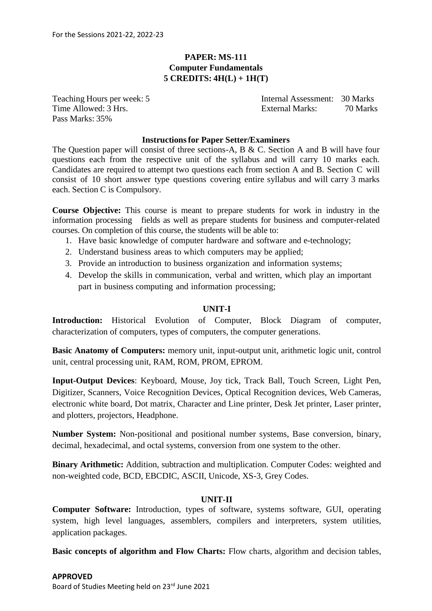## **PAPER: MS-111 Computer Fundamentals 5 CREDITS: 4H(L) + 1H(T)**

Pass Marks: 35%

Teaching Hours per week: 5 Internal Assessment: 30 Marks Time Allowed: 3 Hrs. External Marks: 70 Marks

### **Instructionsfor Paper Setter/Examiners**

The Question paper will consist of three sections-A, B & C. Section A and B will have four questions each from the respective unit of the syllabus and will carry 10 marks each. Candidates are required to attempt two questions each from section A and B. Section C will consist of 10 short answer type questions covering entire syllabus and will carry 3 marks each. Section C is Compulsory.

**Course Objective:** This course is meant to prepare students for work in industry in the information processing fields as well as prepare students for business and computer-related courses. On completion of this course, the students will be able to:

- 1. Have basic knowledge of computer hardware and software and e-technology;
- 2. Understand business areas to which computers may be applied;
- 3. Provide an introduction to business organization and information systems;
- 4. Develop the skills in communication, verbal and written, which play an important part in business computing and information processing;

### **UNIT-I**

**Introduction:** Historical Evolution of Computer, Block Diagram of computer, characterization of computers, types of computers, the computer generations.

**Basic Anatomy of Computers:** memory unit, input-output unit, arithmetic logic unit, control unit, central processing unit, RAM, ROM, PROM, EPROM.

**Input-Output Devices**: Keyboard, Mouse, Joy tick, Track Ball, Touch Screen, Light Pen, Digitizer, Scanners, Voice Recognition Devices, Optical Recognition devices, Web Cameras, electronic white board, Dot matrix, Character and Line printer, Desk Jet printer, Laser printer, and plotters, projectors, Headphone.

**Number System:** Non-positional and positional number systems, Base conversion, binary, decimal, hexadecimal, and octal systems, conversion from one system to the other.

**Binary Arithmetic:** Addition, subtraction and multiplication. Computer Codes: weighted and non-weighted code, BCD, EBCDIC, ASCII, Unicode, XS-3, Grey Codes.

### **UNIT-II**

**Computer Software:** Introduction, types of software, systems software, GUI, operating system, high level languages, assemblers, compilers and interpreters, system utilities, application packages.

**Basic concepts of algorithm and Flow Charts:** Flow charts, algorithm and decision tables,

### **APPROVED**

Board of Studies Meeting held on 23rd June 2021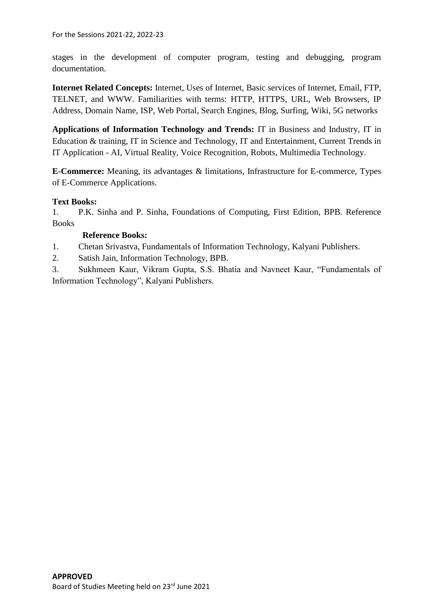For the Sessions 2021-22, 2022-23

stages in the development of computer program, testing and debugging, program documentation.

**Internet Related Concepts:** Internet, Uses of Internet, Basic services of Internet, Email, FTP, TELNET, and WWW. Familiarities with terms: HTTP, HTTPS, URL, Web Browsers, IP Address, Domain Name, ISP, Web Portal, Search Engines, Blog, Surfing, Wiki, 5G networks

**Applications of Information Technology and Trends:** IT in Business and Industry, IT in Education & training, IT in Science and Technology, IT and Entertainment, Current Trends in IT Application - AI, Virtual Reality, Voice Recognition, Robots, Multimedia Technology.

**E-Commerce:** Meaning, its advantages & limitations, Infrastructure for E-commerce, Types of E-Commerce Applications.

## **Text Books:**

1. P.K. Sinha and P. Sinha, Foundations of Computing, First Edition, BPB. Reference Books

## **Reference Books:**

1. Chetan Srivastva, Fundamentals of Information Technology, Kalyani Publishers.

2. Satish Jain, Information Technology, BPB.

3. Sukhmeen Kaur, Vikram Gupta, S.S. Bhatia and Navneet Kaur, "Fundamentals of Information Technology", Kalyani Publishers.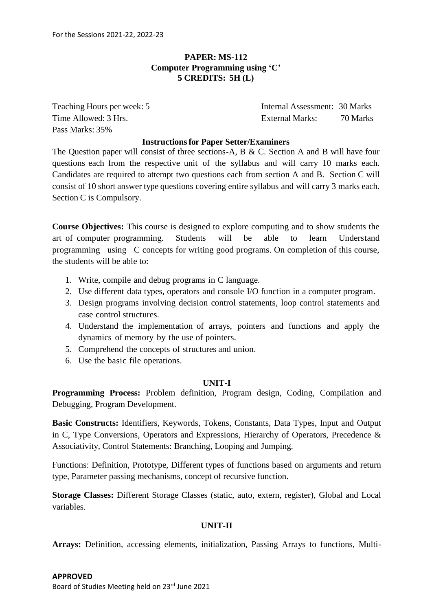## **PAPER: MS-112 Computer Programming using 'C' 5 CREDITS: 5H (L)**

Pass Marks: 35%

Teaching Hours per week: 5 Internal Assessment: 30 Marks Time Allowed: 3 Hrs. External Marks: 70 Marks

### **Instructionsfor Paper Setter/Examiners**

The Question paper will consist of three sections-A, B & C. Section A and B will have four questions each from the respective unit of the syllabus and will carry 10 marks each. Candidates are required to attempt two questions each from section A and B. Section C will consist of 10 short answer type questions covering entire syllabus and will carry 3 marks each. Section C is Compulsory.

**Course Objectives:** This course is designed to explore computing and to show students the art of computer programming. Students will be able to learn Understand programming using C concepts for writing good programs. On completion of this course, the students will be able to:

- 1. Write, compile and debug programs in C language.
- 2. Use different data types, operators and console I/O function in a computer program.
- 3. Design programs involving decision control statements, loop control statements and case control structures.
- 4. Understand the implementation of arrays, pointers and functions and apply the dynamics of memory by the use of pointers.
- 5. Comprehend the concepts of structures and union.
- 6. Use the basic file operations.

### **UNIT-I**

**Programming Process:** Problem definition, Program design, Coding, Compilation and Debugging, Program Development.

**Basic Constructs:** Identifiers, Keywords, Tokens, Constants, Data Types, Input and Output in C, Type Conversions, Operators and Expressions, Hierarchy of Operators, Precedence & Associativity, Control Statements: Branching, Looping and Jumping.

Functions: Definition, Prototype, Different types of functions based on arguments and return type, Parameter passing mechanisms, concept of recursive function.

**Storage Classes:** Different Storage Classes (static, auto, extern, register), Global and Local variables.

## **UNIT-II**

**Arrays:** Definition, accessing elements, initialization, Passing Arrays to functions, Multi-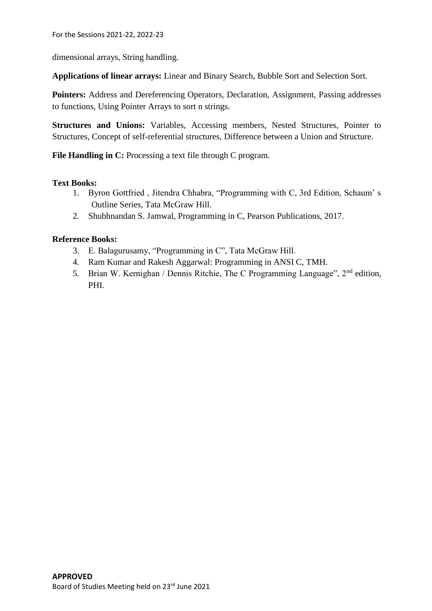dimensional arrays, String handling.

**Applications of linear arrays:** Linear and Binary Search, Bubble Sort and Selection Sort.

**Pointers:** Address and Dereferencing Operators, Declaration, Assignment, Passing addresses to functions, Using Pointer Arrays to sort n strings.

**Structures and Unions:** Variables, Accessing members, Nested Structures, Pointer to Structures, Concept of self-referential structures, Difference between a Union and Structure.

File Handling in C: Processing a text file through C program.

### **Text Books:**

- 1. Byron Gottfried , Jitendra Chhabra, "Programming with C, 3rd Edition, Schaum' s Outline Series, Tata McGraw Hill.
- 2. Shubhnandan S. Jamwal, Programming in C, Pearson Publications, 2017.

## **Reference Books:**

- 3. E. Balagurusamy, "Programming in C", Tata McGraw Hill.
- 4. Ram Kumar and Rakesh Aggarwal: Programming in ANSI C, TMH.
- 5. Brian W. Kernighan / Dennis Ritchie, The C Programming Language", 2nd edition, PHI.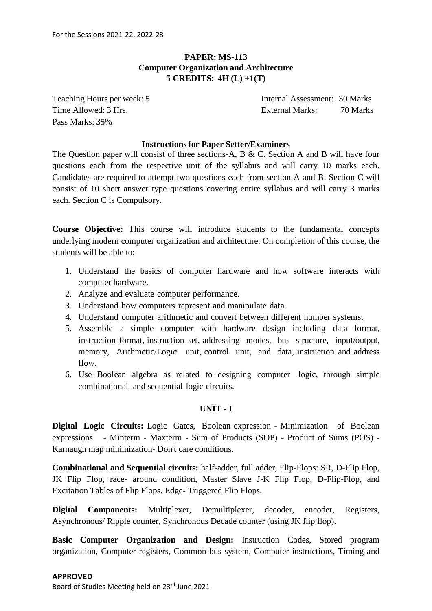## **PAPER: MS-113 Computer Organization and Architecture 5 CREDITS: 4H (L) +1(T)**

Pass Marks: 35%

Teaching Hours per week: 5 Internal Assessment: 30 Marks Time Allowed: 3 Hrs. External Marks: 70 Marks

### **Instructionsfor Paper Setter/Examiners**

The Question paper will consist of three sections-A, B & C. Section A and B will have four questions each from the respective unit of the syllabus and will carry 10 marks each. Candidates are required to attempt two questions each from section A and B. Section C will consist of 10 short answer type questions covering entire syllabus and will carry 3 marks each. Section C is Compulsory.

**Course Objective:** This course will introduce students to the fundamental concepts underlying modern computer organization and architecture. On completion of this course, the students will be able to:

- 1. Understand the basics of computer hardware and how software interacts with computer hardware.
- 2. Analyze and evaluate computer performance.
- 3. Understand how computers represent and manipulate data.
- 4. Understand computer arithmetic and convert between different number systems.
- 5. Assemble a simple computer with hardware design including data format, instruction format, instruction set, addressing modes, bus structure, input/output, memory, Arithmetic/Logic unit, control unit, and data, instruction and address flow.
- 6. Use Boolean algebra as related to designing computer logic, through simple combinational and sequential logic circuits.

### **UNIT - I**

**Digital Logic Circuits:** Logic Gates, Boolean expression - Minimization of Boolean expressions - Minterm - Maxterm - Sum of Products (SOP) - Product of Sums (POS) - Karnaugh map minimization- Don't care conditions.

**Combinational and Sequential circuits:** half-adder, full adder, Flip-Flops: SR, D-Flip Flop, JK Flip Flop, race- around condition, Master Slave J-K Flip Flop, D-Flip-Flop, and Excitation Tables of Flip Flops. Edge- Triggered Flip Flops.

**Digital Components:** Multiplexer, Demultiplexer, decoder, encoder, Registers, Asynchronous/ Ripple counter, Synchronous Decade counter (using JK flip flop).

**Basic Computer Organization and Design:** Instruction Codes, Stored program organization, Computer registers, Common bus system, Computer instructions, Timing and

### **APPROVED**

Board of Studies Meeting held on 23rd June 2021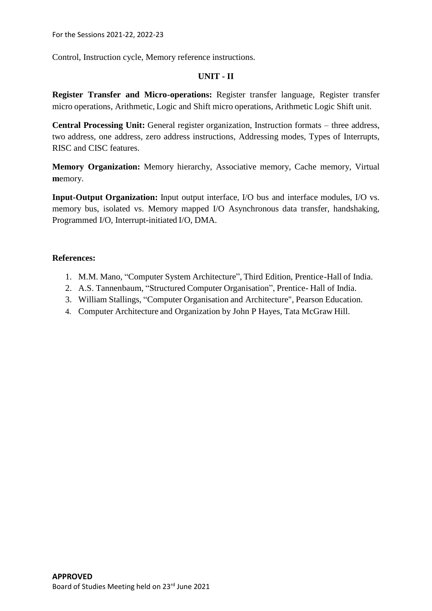Control, Instruction cycle, Memory reference instructions.

## **UNIT - II**

**Register Transfer and Micro-operations:** Register transfer language, Register transfer micro operations, Arithmetic, Logic and Shift micro operations, Arithmetic Logic Shift unit.

**Central Processing Unit:** General register organization, Instruction formats – three address, two address, one address, zero address instructions, Addressing modes, Types of Interrupts, RISC and CISC features.

**Memory Organization:** Memory hierarchy, Associative memory, Cache memory, Virtual **m**emory.

**Input-Output Organization:** Input output interface, I/O bus and interface modules, I/O vs. memory bus, isolated vs. Memory mapped I/O Asynchronous data transfer, handshaking, Programmed I/O, Interrupt-initiated I/O, DMA.

- 1. M.M. Mano, "Computer System Architecture", Third Edition, Prentice-Hall of India.
- 2. A.S. Tannenbaum, "Structured Computer Organisation", Prentice- Hall of India.
- 3. William Stallings, "Computer Organisation and Architecture", Pearson Education.
- 4. Computer Architecture and Organization by John P Hayes, Tata McGraw Hill.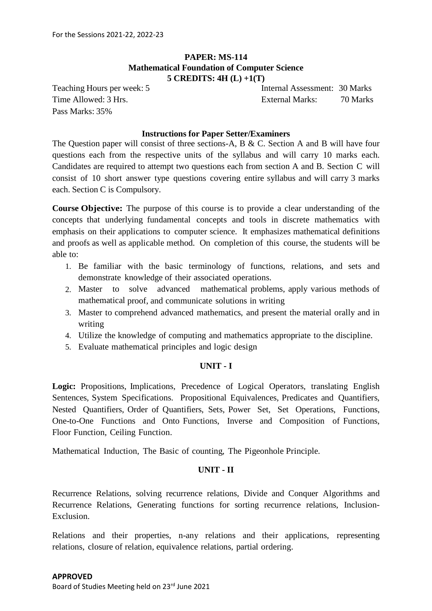## **PAPER: MS-114 Mathematical Foundation of Computer Science 5 CREDITS: 4H (L) +1(T)**

Pass Marks: 35%

Teaching Hours per week: 5 Internal Assessment: 30 Marks Time Allowed: 3 Hrs. External Marks: 70 Marks

### **Instructions for Paper Setter/Examiners**

The Question paper will consist of three sections-A, B & C. Section A and B will have four questions each from the respective units of the syllabus and will carry 10 marks each. Candidates are required to attempt two questions each from section A and B. Section C will consist of 10 short answer type questions covering entire syllabus and will carry 3 marks each. Section C is Compulsory.

**Course Objective:** The purpose of this course is to provide a clear understanding of the concepts that underlying fundamental concepts and tools in discrete mathematics with emphasis on their applications to computer science. It emphasizes mathematical definitions and proofs as well as applicable method. On completion of this course, the students will be able to:

- 1. Be familiar with the basic terminology of functions, relations, and sets and demonstrate knowledge of their associated operations.
- 2. Master to solve advanced mathematical problems, apply various methods of mathematical proof, and communicate solutions in writing
- 3. Master to comprehend advanced mathematics, and present the material orally and in writing
- 4. Utilize the knowledge of computing and mathematics appropriate to the discipline.
- 5. Evaluate mathematical principles and logic design

### **UNIT - I**

**Logic:** Propositions, Implications, Precedence of Logical Operators, translating English Sentences, System Specifications. Propositional Equivalences, Predicates and Quantifiers, Nested Quantifiers, Order of Quantifiers, Sets, Power Set, Set Operations, Functions, One-to-One Functions and Onto Functions, Inverse and Composition of Functions, Floor Function, Ceiling Function.

Mathematical Induction, The Basic of counting, The Pigeonhole Principle.

### **UNIT - II**

Recurrence Relations, solving recurrence relations, Divide and Conquer Algorithms and Recurrence Relations, Generating functions for sorting recurrence relations, Inclusion-Exclusion.

Relations and their properties, n-any relations and their applications, representing relations, closure of relation, equivalence relations, partial ordering.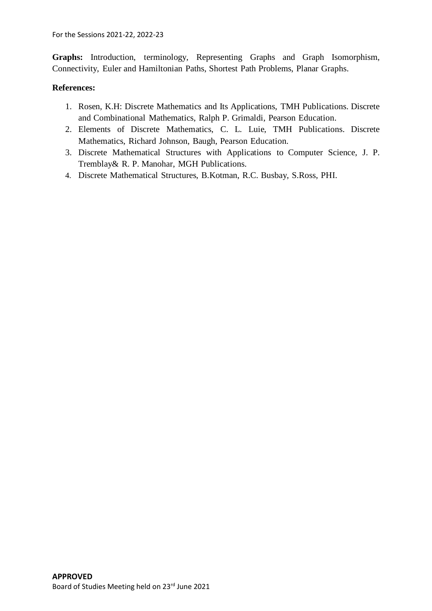Graphs: Introduction, terminology, Representing Graphs and Graph Isomorphism, Connectivity, Euler and Hamiltonian Paths, Shortest Path Problems, Planar Graphs.

- 1. Rosen, K.H: Discrete Mathematics and Its Applications, TMH Publications. Discrete and Combinational Mathematics, Ralph P. Grimaldi, Pearson Education.
- 2. Elements of Discrete Mathematics, C. L. Luie, TMH Publications. Discrete Mathematics, Richard Johnson, Baugh, Pearson Education.
- 3. Discrete Mathematical Structures with Applications to Computer Science, J. P. Tremblay& R. P. Manohar, MGH Publications.
- 4. Discrete Mathematical Structures, B.Kotman, R.C. Busbay, S.Ross, PHI.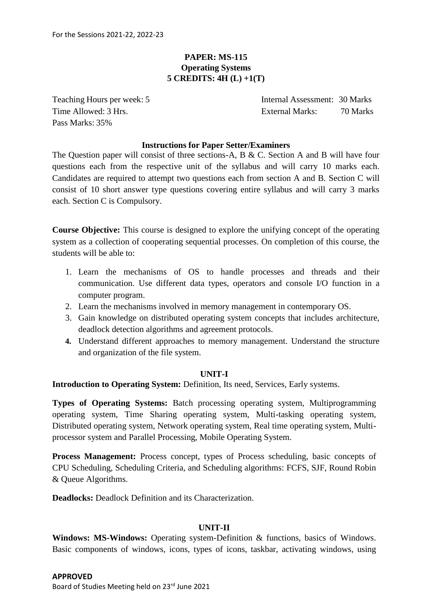## **PAPER: MS-115 Operating Systems 5 CREDITS: 4H (L) +1(T)**

Pass Marks: 35%

Teaching Hours per week: 5 Internal Assessment: 30 Marks Time Allowed: 3 Hrs. External Marks: 70 Marks

### **Instructions for Paper Setter/Examiners**

The Question paper will consist of three sections-A, B & C. Section A and B will have four questions each from the respective unit of the syllabus and will carry 10 marks each. Candidates are required to attempt two questions each from section A and B. Section C will consist of 10 short answer type questions covering entire syllabus and will carry 3 marks each. Section C is Compulsory.

**Course Objective:** This course is designed to explore the unifying concept of the operating system as a collection of cooperating sequential processes. On completion of this course, the students will be able to:

- 1. Learn the mechanisms of OS to handle processes and threads and their communication. Use different data types, operators and console I/O function in a computer program.
- 2. Learn the mechanisms involved in memory management in contemporary OS.
- 3. Gain knowledge on distributed operating system concepts that includes architecture, deadlock detection algorithms and agreement protocols.
- **4.** Understand different approaches to memory management. Understand the structure and organization of the file system.

### **UNIT-I**

**Introduction to Operating System:** Definition, Its need, Services, Early systems.

**Types of Operating Systems:** Batch processing operating system, Multiprogramming operating system, Time Sharing operating system, Multi-tasking operating system, Distributed operating system, Network operating system, Real time operating system, Multiprocessor system and Parallel Processing, Mobile Operating System.

**Process Management:** Process concept, types of Process scheduling, basic concepts of CPU Scheduling, Scheduling Criteria, and Scheduling algorithms: FCFS, SJF, Round Robin & Queue Algorithms.

**Deadlocks:** Deadlock Definition and its Characterization.

## **UNIT-II**

**Windows: MS-Windows:** Operating system-Definition & functions, basics of Windows. Basic components of windows, icons, types of icons, taskbar, activating windows, using

Board of Studies Meeting held on 23rd June 2021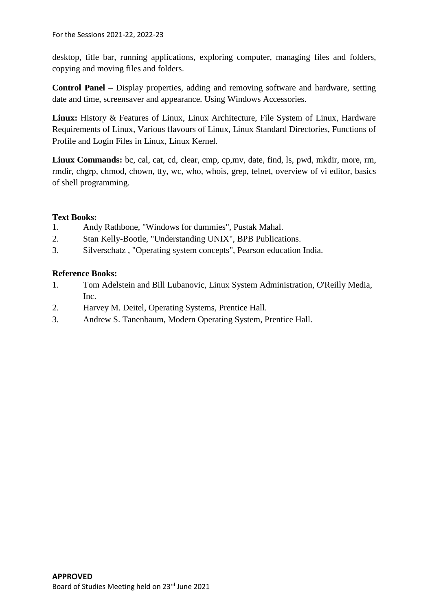desktop, title bar, running applications, exploring computer, managing files and folders, copying and moving files and folders.

**Control Panel –** Display properties, adding and removing software and hardware, setting date and time, screensaver and appearance. Using Windows Accessories.

**Linux:** History & Features of Linux, Linux Architecture, File System of Linux, Hardware Requirements of Linux, Various flavours of Linux, Linux Standard Directories, Functions of Profile and Login Files in Linux, Linux Kernel.

**Linux Commands:** bc, cal, cat, cd, clear, cmp, cp,mv, date, find, ls, pwd, mkdir, more, rm, rmdir, chgrp, chmod, chown, tty, wc, who, whois, grep, telnet, overview of vi editor, basics of shell programming.

## **Text Books:**

- 1. Andy Rathbone, "Windows for dummies", Pustak Mahal.
- 2. Stan Kelly-Bootle, "Understanding UNIX", BPB Publications.
- 3. Silverschatz , "Operating system concepts", Pearson education India.

## **Reference Books:**

- 1. Tom Adelstein and Bill Lubanovic, Linux System Administration, O'Reilly Media, Inc.
- 2. Harvey M. Deitel, Operating Systems, Prentice Hall.
- 3. Andrew S. Tanenbaum, Modern Operating System, Prentice Hall.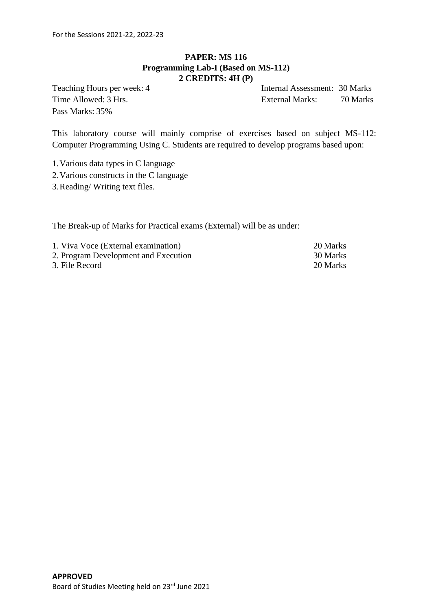## **PAPER: MS 116 Programming Lab-I (Based on MS-112) 2 CREDITS: 4H (P)**

Pass Marks: 35%

Teaching Hours per week: 4 Internal Assessment: 30 Marks Time Allowed: 3 Hrs. External Marks: 70 Marks

This laboratory course will mainly comprise of exercises based on subject MS-112: Computer Programming Using C. Students are required to develop programs based upon:

1.Various data types in C language

2.Various constructs in the C language

3.Reading/ Writing text files.

The Break-up of Marks for Practical exams (External) will be as under:

| 1. Viva Voce (External examination)  | 20 Marks |
|--------------------------------------|----------|
| 2. Program Development and Execution | 30 Marks |
| 3. File Record                       | 20 Marks |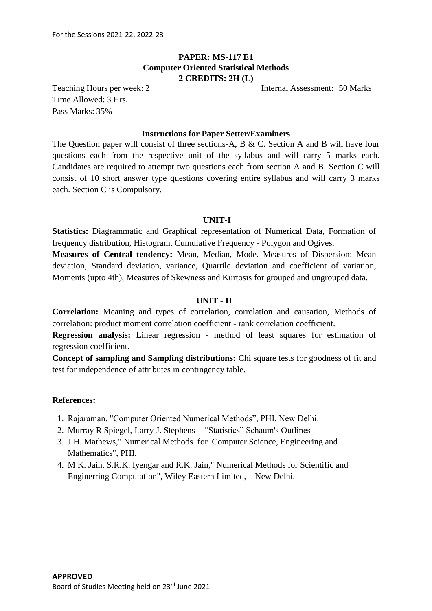## **PAPER: MS-117 E1 Computer Oriented Statistical Methods 2 CREDITS: 2H (L)**

Teaching Hours per week: 2 Internal Assessment: 50 Marks

Time Allowed: 3 Hrs. Pass Marks: 35%

### **Instructions for Paper Setter/Examiners**

The Question paper will consist of three sections-A, B & C. Section A and B will have four questions each from the respective unit of the syllabus and will carry 5 marks each. Candidates are required to attempt two questions each from section A and B. Section C will consist of 10 short answer type questions covering entire syllabus and will carry 3 marks each. Section C is Compulsory.

### **UNIT-I**

**Statistics:** Diagrammatic and Graphical representation of Numerical Data, Formation of frequency distribution, Histogram, Cumulative Frequency - Polygon and Ogives.

**Measures of Central tendency:** Mean, Median, Mode. Measures of Dispersion: Mean deviation, Standard deviation, variance, Quartile deviation and coefficient of variation, Moments (upto 4th), Measures of Skewness and Kurtosis for grouped and ungrouped data.

### **UNIT - II**

**Correlation:** Meaning and types of correlation, correlation and causation, Methods of correlation: product moment correlation coefficient - rank correlation coefficient.

**Regression analysis:** Linear regression - method of least squares for estimation of regression coefficient.

**Concept of sampling and Sampling distributions:** Chi square tests for goodness of fit and test for independence of attributes in contingency table.

- 1. Rajaraman, "Computer Oriented Numerical Methods", PHI, New Delhi.
- 2. Murray R Spiegel, Larry J. Stephens "Statistics" Schaum's Outlines
- 3. J.H. Mathews," Numerical Methods for Computer Science, Engineering and Mathematics", PHI.
- 4. M K. Jain, S.R.K. Iyengar and R.K. Jain," Numerical Methods for Scientific and Enginerring Computation", Wiley Eastern Limited, New Delhi.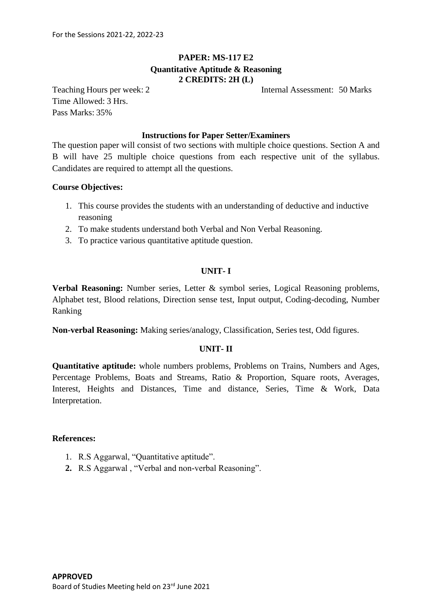## **PAPER: MS-117 E2 Quantitative Aptitude & Reasoning 2 CREDITS: 2H (L)**

Teaching Hours per week: 2 Internal Assessment: 50 Marks

Time Allowed: 3 Hrs. Pass Marks: 35%

### **Instructions for Paper Setter/Examiners**

The question paper will consist of two sections with multiple choice questions. Section A and B will have 25 multiple choice questions from each respective unit of the syllabus. Candidates are required to attempt all the questions.

### **Course Objectives:**

- 1. This course provides the students with an understanding of deductive and inductive reasoning
- 2. To make students understand both Verbal and Non Verbal Reasoning.
- 3. To practice various quantitative aptitude question.

### **UNIT- I**

**Verbal Reasoning:** Number series, Letter & symbol series, Logical Reasoning problems, Alphabet test, Blood relations, Direction sense test, Input output, Coding-decoding, Number Ranking

**Non-verbal Reasoning:** Making series/analogy, Classification, Series test, Odd figures.

### **UNIT- II**

**Quantitative aptitude:** whole numbers problems, Problems on Trains, Numbers and Ages, Percentage Problems, Boats and Streams, Ratio & Proportion, Square roots, Averages, Interest, Heights and Distances, Time and distance, Series, Time & Work, Data Interpretation.

- 1. R.S Aggarwal, "Quantitative aptitude".
- **2.** R.S Aggarwal , "Verbal and non-verbal Reasoning".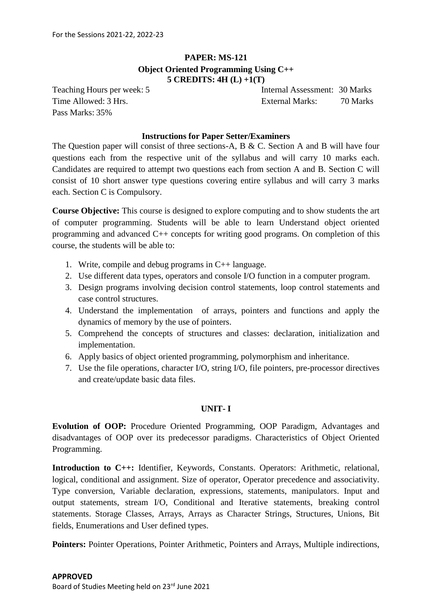## **PAPER: MS-121 Object Oriented Programming Using C++ 5 CREDITS: 4H (L) +1(T)**

Pass Marks: 35%

Teaching Hours per week: 5 Internal Assessment: 30 Marks Time Allowed: 3 Hrs. External Marks: 70 Marks

### **Instructions for Paper Setter/Examiners**

The Question paper will consist of three sections-A, B & C. Section A and B will have four questions each from the respective unit of the syllabus and will carry 10 marks each. Candidates are required to attempt two questions each from section A and B. Section C will consist of 10 short answer type questions covering entire syllabus and will carry 3 marks each. Section C is Compulsory.

**Course Objective:** This course is designed to explore computing and to show students the art of computer programming. Students will be able to learn Understand object oriented programming and advanced C++ concepts for writing good programs. On completion of this course, the students will be able to:

- 1. Write, compile and debug programs in C++ language.
- 2. Use different data types, operators and console I/O function in a computer program.
- 3. Design programs involving decision control statements, loop control statements and case control structures.
- 4. Understand the implementation of arrays, pointers and functions and apply the dynamics of memory by the use of pointers.
- 5. Comprehend the concepts of structures and classes: declaration, initialization and implementation.
- 6. Apply basics of object oriented programming, polymorphism and inheritance.
- 7. Use the file operations, character I/O, string I/O, file pointers, pre-processor directives and create/update basic data files.

### **UNIT- I**

**Evolution of OOP:** Procedure Oriented Programming, OOP Paradigm, Advantages and disadvantages of OOP over its predecessor paradigms. Characteristics of Object Oriented Programming.

**Introduction to C++:** Identifier, Keywords, Constants. Operators: Arithmetic, relational, logical, conditional and assignment. Size of operator, Operator precedence and associativity. Type conversion, Variable declaration, expressions, statements, manipulators. Input and output statements, stream I/O, Conditional and Iterative statements, breaking control statements. Storage Classes, Arrays, Arrays as Character Strings, Structures, Unions, Bit fields, Enumerations and User defined types.

**Pointers:** Pointer Operations, Pointer Arithmetic, Pointers and Arrays, Multiple indirections,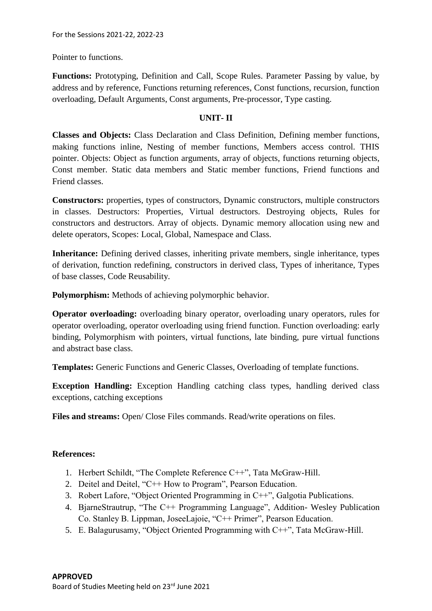Pointer to functions.

**Functions:** Prototyping, Definition and Call, Scope Rules. Parameter Passing by value, by address and by reference, Functions returning references, Const functions, recursion, function overloading, Default Arguments, Const arguments, Pre-processor, Type casting.

## **UNIT- II**

**Classes and Objects:** Class Declaration and Class Definition, Defining member functions, making functions inline, Nesting of member functions, Members access control. THIS pointer. Objects: Object as function arguments, array of objects, functions returning objects, Const member. Static data members and Static member functions, Friend functions and Friend classes.

**Constructors:** properties, types of constructors, Dynamic constructors, multiple constructors in classes. Destructors: Properties, Virtual destructors. Destroying objects, Rules for constructors and destructors. Array of objects. Dynamic memory allocation using new and delete operators, Scopes: Local, Global, Namespace and Class.

**Inheritance:** Defining derived classes, inheriting private members, single inheritance, types of derivation, function redefining, constructors in derived class, Types of inheritance, Types of base classes, Code Reusability.

**Polymorphism:** Methods of achieving polymorphic behavior.

**Operator overloading:** overloading binary operator, overloading unary operators, rules for operator overloading, operator overloading using friend function. Function overloading: early binding, Polymorphism with pointers, virtual functions, late binding, pure virtual functions and abstract base class.

**Templates:** Generic Functions and Generic Classes, Overloading of template functions.

**Exception Handling:** Exception Handling catching class types, handling derived class exceptions, catching exceptions

**Files and streams:** Open/ Close Files commands. Read/write operations on files.

- 1. Herbert Schildt, "The Complete Reference C++", Tata McGraw-Hill.
- 2. Deitel and Deitel, "C++ How to Program", Pearson Education.
- 3. Robert Lafore, "Object Oriented Programming in C++", Galgotia Publications.
- 4. BjarneStrautrup, "The C++ Programming Language", Addition- Wesley Publication Co. Stanley B. Lippman, JoseeLajoie, "C++ Primer", Pearson Education.
- 5. E. Balagurusamy, "Object Oriented Programming with C++", Tata McGraw-Hill.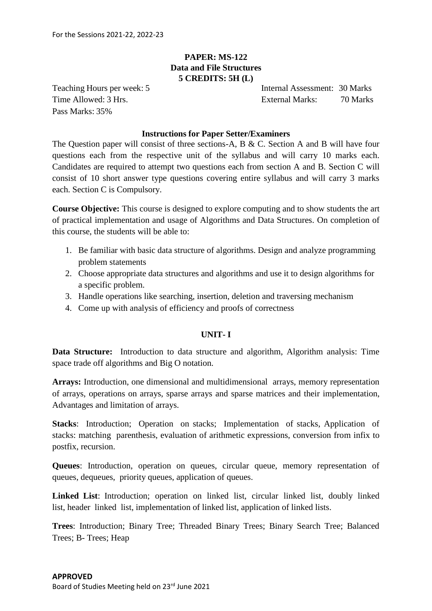## **PAPER: MS-122 Data and File Structures 5 CREDITS: 5H (L)**

Pass Marks: 35%

Teaching Hours per week: 5 Internal Assessment: 30 Marks Time Allowed: 3 Hrs. External Marks: 70 Marks

### **Instructions for Paper Setter/Examiners**

The Question paper will consist of three sections-A, B & C. Section A and B will have four questions each from the respective unit of the syllabus and will carry 10 marks each. Candidates are required to attempt two questions each from section A and B. Section C will consist of 10 short answer type questions covering entire syllabus and will carry 3 marks each. Section C is Compulsory.

**Course Objective:** This course is designed to explore computing and to show students the art of practical implementation and usage of Algorithms and Data Structures. On completion of this course, the students will be able to:

- 1. Be familiar with basic data structure of algorithms. Design and analyze programming problem statements
- 2. Choose appropriate data structures and algorithms and use it to design algorithms for a specific problem.
- 3. Handle operations like searching, insertion, deletion and traversing mechanism
- 4. Come up with analysis of efficiency and proofs of correctness

### **UNIT- I**

**Data Structure:** Introduction to data structure and algorithm, Algorithm analysis: Time space trade off algorithms and Big O notation.

**Arrays:** Introduction, one dimensional and multidimensional arrays, memory representation of arrays, operations on arrays, sparse arrays and sparse matrices and their implementation, Advantages and limitation of arrays.

**Stacks**: Introduction; Operation on stacks; Implementation of stacks, Application of stacks: matching parenthesis, evaluation of arithmetic expressions, conversion from infix to postfix, recursion.

**Queues**: Introduction, operation on queues, circular queue, memory representation of queues, dequeues, priority queues, application of queues.

**Linked List**: Introduction; operation on linked list, circular linked list, doubly linked list, header linked list, implementation of linked list, application of linked lists.

**Trees**: Introduction; Binary Tree; Threaded Binary Trees; Binary Search Tree; Balanced Trees; B- Trees; Heap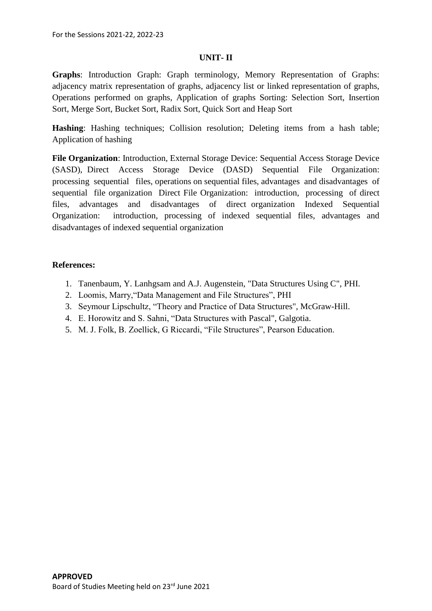## **UNIT- II**

**Graphs**: Introduction Graph: Graph terminology, Memory Representation of Graphs: adjacency matrix representation of graphs, adjacency list or linked representation of graphs, Operations performed on graphs, Application of graphs Sorting: Selection Sort, Insertion Sort, Merge Sort, Bucket Sort, Radix Sort, Quick Sort and Heap Sort

**Hashing**: Hashing techniques; Collision resolution; Deleting items from a hash table; Application of hashing

**File Organization**: Introduction, External Storage Device: Sequential Access Storage Device (SASD), Direct Access Storage Device (DASD) Sequential File Organization: processing sequential files, operations on sequential files, advantages and disadvantages of sequential file organization Direct File Organization: introduction, processing of direct files, advantages and disadvantages of direct organization Indexed Sequential Organization: introduction, processing of indexed sequential files, advantages and disadvantages of indexed sequential organization

- 1. Tanenbaum, Y. Lanhgsam and A.J. Augenstein, "Data Structures Using C", PHI.
- 2. Loomis, Marry,"Data Management and File Structures", PHI
- 3. Seymour Lipschultz, "Theory and Practice of Data Structures", McGraw-Hill.
- 4. E. Horowitz and S. Sahni, "Data Structures with Pascal", Galgotia.
- 5. M. J. Folk, B. Zoellick, G Riccardi, "File Structures", Pearson Education.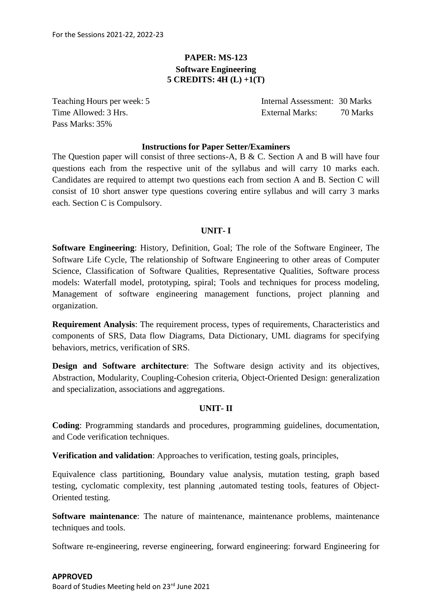## **PAPER: MS-123 Software Engineering 5 CREDITS: 4H (L) +1(T)**

Pass Marks: 35%

Teaching Hours per week: 5 Internal Assessment: 30 Marks Time Allowed: 3 Hrs. External Marks: 70 Marks: 70 Marks

### **Instructions for Paper Setter/Examiners**

The Question paper will consist of three sections-A, B & C. Section A and B will have four questions each from the respective unit of the syllabus and will carry 10 marks each. Candidates are required to attempt two questions each from section A and B. Section C will consist of 10 short answer type questions covering entire syllabus and will carry 3 marks each. Section C is Compulsory.

### **UNIT- I**

**Software Engineering**: History, Definition, Goal; The role of the Software Engineer, The Software Life Cycle, The relationship of Software Engineering to other areas of Computer Science, Classification of Software Qualities, Representative Qualities, Software process models: Waterfall model, prototyping, spiral; Tools and techniques for process modeling, Management of software engineering management functions, project planning and organization.

**Requirement Analysis**: The requirement process, types of requirements, Characteristics and components of SRS, Data flow Diagrams, Data Dictionary, UML diagrams for specifying behaviors, metrics, verification of SRS.

**Design and Software architecture:** The Software design activity and its objectives, Abstraction, Modularity, Coupling-Cohesion criteria, Object-Oriented Design: generalization and specialization, associations and aggregations.

### **UNIT- II**

**Coding**: Programming standards and procedures, programming guidelines, documentation, and Code verification techniques.

**Verification and validation**: Approaches to verification, testing goals, principles,

Equivalence class partitioning, Boundary value analysis, mutation testing, graph based testing, cyclomatic complexity, test planning ,automated testing tools, features of Object-Oriented testing.

**Software maintenance**: The nature of maintenance, maintenance problems, maintenance techniques and tools.

Software re-engineering, reverse engineering, forward engineering: forward Engineering for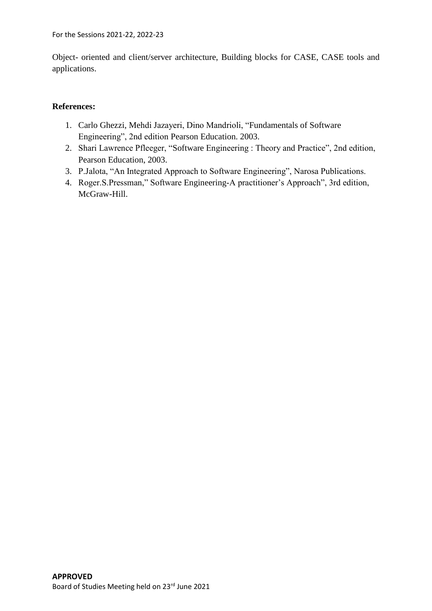Object- oriented and client/server architecture, Building blocks for CASE, CASE tools and applications.

- 1. Carlo Ghezzi, Mehdi Jazayeri, Dino Mandrioli, "Fundamentals of Software Engineering", 2nd edition Pearson Education. 2003.
- 2. Shari Lawrence Pfleeger, "Software Engineering : Theory and Practice", 2nd edition, Pearson Education, 2003.
- 3. P.Jalota, "An Integrated Approach to Software Engineering", Narosa Publications.
- 4. Roger.S.Pressman," Software Engineering-A practitioner's Approach", 3rd edition, McGraw-Hill.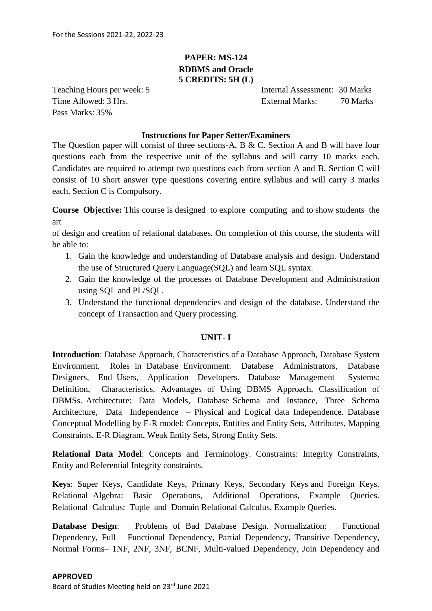## **PAPER: MS-124 RDBMS and Oracle 5 CREDITS: 5H (L)**

Pass Marks: 35%

Teaching Hours per week: 5 Internal Assessment: 30 Marks Time Allowed: 3 Hrs. External Marks: 70 Marks

### **Instructions for Paper Setter/Examiners**

The Question paper will consist of three sections-A, B & C. Section A and B will have four questions each from the respective unit of the syllabus and will carry 10 marks each. Candidates are required to attempt two questions each from section A and B. Section C will consist of 10 short answer type questions covering entire syllabus and will carry 3 marks each. Section C is Compulsory.

**Course Objective:** This course is designed to explore computing and to show students the art

of design and creation of relational databases. On completion of this course, the students will be able to:

- 1. Gain the knowledge and understanding of Database analysis and design. Understand the use of Structured Query Language(SQL) and learn SQL syntax.
- 2. Gain the knowledge of the processes of Database Development and Administration using SQL and PL/SQL.
- 3. Understand the functional dependencies and design of the database. Understand the concept of Transaction and Query processing.

### **UNIT- I**

**Introduction**: Database Approach, Characteristics of a Database Approach, Database System Environment. Roles in Database Environment: Database Administrators, Database Designers, End Users, Application Developers. Database Management Systems: Definition, Characteristics, Advantages of Using DBMS Approach, Classification of DBMSs. Architecture: Data Models, Database Schema and Instance, Three Schema Architecture, Data Independence – Physical and Logical data Independence. Database Conceptual Modelling by E-R model: Concepts, Entities and Entity Sets, Attributes, Mapping Constraints, E-R Diagram, Weak Entity Sets, Strong Entity Sets.

**Relational Data Model**: Concepts and Terminology. Constraints: Integrity Constraints, Entity and Referential Integrity constraints.

**Keys**: Super Keys, Candidate Keys, Primary Keys, Secondary Keys and Foreign Keys. Relational Algebra: Basic Operations, Additional Operations, Example Queries. Relational Calculus: Tuple and Domain Relational Calculus, Example Queries.

**Database Design**: Problems of Bad Database Design. Normalization: Functional Dependency, Full Functional Dependency, Partial Dependency, Transitive Dependency, Normal Forms– 1NF, 2NF, 3NF, BCNF, Multi-valued Dependency, Join Dependency and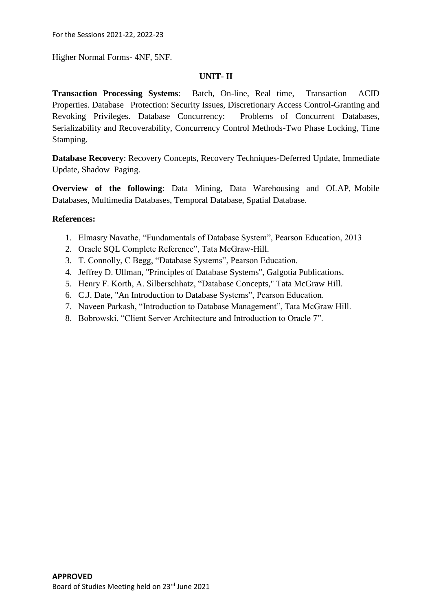For the Sessions 2021-22, 2022-23

Higher Normal Forms- 4NF, 5NF.

## **UNIT- II**

**Transaction Processing Systems**: Batch, On-line, Real time, Transaction ACID Properties. Database Protection: Security Issues, Discretionary Access Control-Granting and Revoking Privileges. Database Concurrency: Problems of Concurrent Databases, Serializability and Recoverability, Concurrency Control Methods-Two Phase Locking, Time Stamping.

**Database Recovery**: Recovery Concepts, Recovery Techniques-Deferred Update, Immediate Update, Shadow Paging.

**Overview of the following**: Data Mining, Data Warehousing and OLAP, Mobile Databases, Multimedia Databases, Temporal Database, Spatial Database.

- 1. Elmasry Navathe, "Fundamentals of Database System", Pearson Education, 2013
- 2. Oracle SQL Complete Reference", Tata McGraw-Hill.
- 3. T. Connolly, C Begg, "Database Systems", Pearson Education.
- 4. Jeffrey D. Ullman, "Principles of Database Systems", Galgotia Publications.
- 5. Henry F. Korth, A. Silberschhatz, "Database Concepts," Tata McGraw Hill.
- 6. C.J. Date, "An Introduction to Database Systems", Pearson Education.
- 7. Naveen Parkash, "Introduction to Database Management", Tata McGraw Hill.
- 8. Bobrowski, "Client Server Architecture and Introduction to Oracle 7".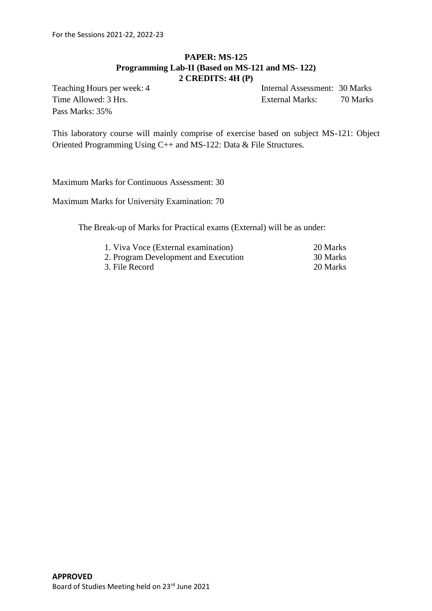## **PAPER: MS-125 Programming Lab-II (Based on MS-121 and MS- 122) 2 CREDITS: 4H (P)**

Pass Marks: 35%

Teaching Hours per week: 4 Internal Assessment: 30 Marks Time Allowed: 3 Hrs. External Marks: 70 Marks

This laboratory course will mainly comprise of exercise based on subject MS-121: Object Oriented Programming Using C++ and MS-122: Data & File Structures.

Maximum Marks for Continuous Assessment: 30

Maximum Marks for University Examination: 70

The Break-up of Marks for Practical exams (External) will be as under:

| 1. Viva Voce (External examination)  | 20 Marks |
|--------------------------------------|----------|
| 2. Program Development and Execution | 30 Marks |
| 3. File Record                       | 20 Marks |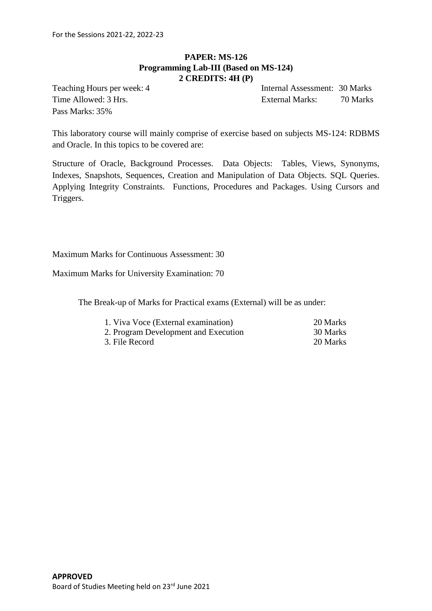## **PAPER: MS-126 Programming Lab-III (Based on MS-124) 2 CREDITS: 4H (P)**

Pass Marks: 35%

Teaching Hours per week: 4 Internal Assessment: 30 Marks Time Allowed: 3 Hrs. External Marks: 70 Marks

This laboratory course will mainly comprise of exercise based on subjects MS-124: RDBMS and Oracle. In this topics to be covered are:

Structure of Oracle, Background Processes. Data Objects: Tables, Views, Synonyms, Indexes, Snapshots, Sequences, Creation and Manipulation of Data Objects. SQL Queries. Applying Integrity Constraints. Functions, Procedures and Packages. Using Cursors and Triggers.

Maximum Marks for Continuous Assessment: 30

Maximum Marks for University Examination: 70

The Break-up of Marks for Practical exams (External) will be as under:

| 1. Viva Voce (External examination)  | 20 Marks |
|--------------------------------------|----------|
| 2. Program Development and Execution | 30 Marks |
| 3. File Record                       | 20 Marks |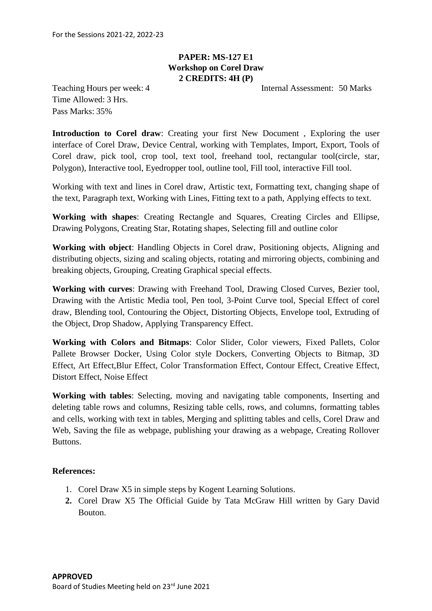## **PAPER: MS-127 E1 Workshop on Corel Draw 2 CREDITS: 4H (P)**

Teaching Hours per week: 4 Internal Assessment: 50 Marks

Time Allowed: 3 Hrs. Pass Marks: 35%

**Introduction to Corel draw**: Creating your first New Document , Exploring the user interface of Corel Draw, Device Central, working with Templates, Import, Export, Tools of Corel draw, pick tool, crop tool, text tool, freehand tool, rectangular tool(circle, star, Polygon), Interactive tool, Eyedropper tool, outline tool, Fill tool, interactive Fill tool.

Working with text and lines in Corel draw, Artistic text, Formatting text, changing shape of the text, Paragraph text, Working with Lines, Fitting text to a path, Applying effects to text.

**Working with shapes**: Creating Rectangle and Squares, Creating Circles and Ellipse, Drawing Polygons, Creating Star, Rotating shapes, Selecting fill and outline color

**Working with object**: Handling Objects in Corel draw, Positioning objects, Aligning and distributing objects, sizing and scaling objects, rotating and mirroring objects, combining and breaking objects, Grouping, Creating Graphical special effects.

**Working with curves**: Drawing with Freehand Tool, Drawing Closed Curves, Bezier tool, Drawing with the Artistic Media tool, Pen tool, 3-Point Curve tool, Special Effect of corel draw, Blending tool, Contouring the Object, Distorting Objects, Envelope tool, Extruding of the Object, Drop Shadow, Applying Transparency Effect.

**Working with Colors and Bitmaps**: Color Slider, Color viewers, Fixed Pallets, Color Pallete Browser Docker, Using Color style Dockers, Converting Objects to Bitmap, 3D Effect, Art Effect,Blur Effect, Color Transformation Effect, Contour Effect, Creative Effect, Distort Effect, Noise Effect

**Working with tables**: Selecting, moving and navigating table components, Inserting and deleting table rows and columns, Resizing table cells, rows, and columns, formatting tables and cells, working with text in tables, Merging and splitting tables and cells, Corel Draw and Web, Saving the file as webpage, publishing your drawing as a webpage, Creating Rollover Buttons.

- 1. Corel Draw X5 in simple steps by Kogent Learning Solutions.
- **2.** Corel Draw X5 The Official Guide by Tata McGraw Hill written by Gary David Bouton.